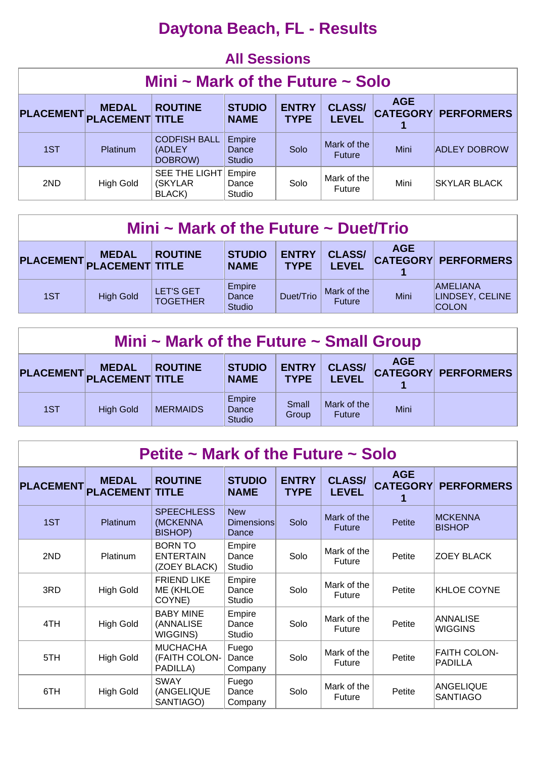### **Daytona Beach, FL - Results**

#### **All Sessions**

| Mini $\sim$ Mark of the Future $\sim$ Solo                                                                                                                                                                                         |           |                                           |                                  |      |                              |      |                     |  |  |  |
|------------------------------------------------------------------------------------------------------------------------------------------------------------------------------------------------------------------------------------|-----------|-------------------------------------------|----------------------------------|------|------------------------------|------|---------------------|--|--|--|
| <b>AGE</b><br><b>ROUTINE</b><br><b>ENTRY</b><br><b>CLASS/</b><br><b>STUDIO</b><br><b>MEDAL</b><br><b>PLACEMENT</b><br><b>CATEGORY</b><br><b>PERFORMERS</b><br><b>PLACEMENT TITLE</b><br><b>LEVEL</b><br><b>TYPE</b><br><b>NAME</b> |           |                                           |                                  |      |                              |      |                     |  |  |  |
| 1ST                                                                                                                                                                                                                                | Platinum  | <b>CODFISH BALL</b><br>(ADLEY)<br>DOBROW) | Empire<br>Dance<br><b>Studio</b> | Solo | Mark of the<br><b>Future</b> | Mini | <b>ADLEY DOBROW</b> |  |  |  |
| 2ND                                                                                                                                                                                                                                | High Gold | SEE THE LIGHT<br>(SKYLAR)<br>BLACK)       | Empire<br>Dance<br><b>Studio</b> | Solo | Mark of the<br>Future        | Mini | <b>SKYLAR BLACK</b> |  |  |  |

| Mini ~ Mark of the Future ~ Duet/Trio                                                                                                                                                                              |                  |                                     |                                  |           |                              |      |                                                    |  |  |
|--------------------------------------------------------------------------------------------------------------------------------------------------------------------------------------------------------------------|------------------|-------------------------------------|----------------------------------|-----------|------------------------------|------|----------------------------------------------------|--|--|
| <b>AGE</b><br><b>ENTRY</b><br><b>CLASS/</b><br><b>STUDIO</b><br><b>ROUTINE</b><br><b>MEDAL</b><br><b>CATEGORY PERFORMERS</b><br>PLACEMENT,<br><b>PLACEMENT TITLE</b><br><b>LEVEL</b><br><b>TYPE</b><br><b>NAME</b> |                  |                                     |                                  |           |                              |      |                                                    |  |  |
| 1ST                                                                                                                                                                                                                | <b>High Gold</b> | <b>LET'S GET</b><br><b>TOGETHER</b> | Empire<br>Dance<br><b>Studio</b> | Duet/Trio | Mark of the<br><b>Future</b> | Mini | <b>AMELIANA</b><br>LINDSEY, CELINE<br><b>COLON</b> |  |  |

| Mini $\sim$ Mark of the Future $\sim$ Small Group                                                                                                                                                       |                  |                 |                                  |                |                              |      |  |  |  |  |
|---------------------------------------------------------------------------------------------------------------------------------------------------------------------------------------------------------|------------------|-----------------|----------------------------------|----------------|------------------------------|------|--|--|--|--|
| <b>AGE</b><br><b>ENTRY</b><br><b>STUDIO</b><br><b>CLASS/</b><br><b>ROUTINE</b><br><b>MEDAL</b><br><b>CATEGORY PERFORMERS</b><br>PLACEMENT PLACEMENT TITLE<br><b>LEVEL</b><br><b>TYPE</b><br><b>NAME</b> |                  |                 |                                  |                |                              |      |  |  |  |  |
| 1ST                                                                                                                                                                                                     | <b>High Gold</b> | <b>MERMAIDS</b> | Empire<br>Dance<br><b>Studio</b> | Small<br>Group | Mark of the<br><b>Future</b> | Mini |  |  |  |  |

| Petite $\sim$ Mark of the Future $\sim$ Solo |                                  |                                                    |                                          |                             |                               |                               |                                 |  |  |  |
|----------------------------------------------|----------------------------------|----------------------------------------------------|------------------------------------------|-----------------------------|-------------------------------|-------------------------------|---------------------------------|--|--|--|
| <b>PLACEMENT</b>                             | <b>MEDAL</b><br><b>PLACEMENT</b> | <b>ROUTINE</b><br><b>TITLE</b>                     | <b>STUDIO</b><br><b>NAME</b>             | <b>ENTRY</b><br><b>TYPE</b> | <b>CLASS/</b><br><b>LEVEL</b> | <b>AGE</b><br><b>CATEGORY</b> | <b>PERFORMERS</b>               |  |  |  |
| 1ST                                          | <b>Platinum</b>                  | <b>SPEECHLESS</b><br>(MCKENNA<br><b>BISHOP)</b>    | <b>New</b><br><b>Dimensions</b><br>Dance | Solo                        | Mark of the<br><b>Future</b>  | Petite                        | <b>MCKENNA</b><br><b>BISHOP</b> |  |  |  |
| 2ND                                          | Platinum                         | <b>BORN TO</b><br><b>ENTERTAIN</b><br>(ZOEY BLACK) | Empire<br>Dance<br>Studio                | Solo                        | Mark of the<br>Future         | Petite                        | <b>ZOEY BLACK</b>               |  |  |  |
| 3RD                                          | <b>High Gold</b>                 | <b>FRIEND LIKE</b><br>ME (KHLOE<br>COYNE)          | Empire<br>Dance<br>Studio                | Solo                        | Mark of the<br><b>Future</b>  | Petite                        | KHLOE COYNE                     |  |  |  |
| 4TH                                          | <b>High Gold</b>                 | <b>BABY MINE</b><br>(ANNALISE<br>WIGGINS)          | Empire<br>Dance<br>Studio                | Solo                        | Mark of the<br><b>Future</b>  | Petite                        | ANNALISE<br><b>WIGGINS</b>      |  |  |  |
| 5TH                                          | <b>High Gold</b>                 | <b>MUCHACHA</b><br>(FAITH COLON-<br>PADILLA)       | Fuego<br>Dance<br>Company                | Solo                        | Mark of the<br><b>Future</b>  | Petite                        | <b>FAITH COLON-</b><br>PADILLA  |  |  |  |
| 6TH                                          | <b>High Gold</b>                 | <b>SWAY</b><br>(ANGELIQUE<br>SANTIAGO)             | Fuego<br>Dance<br>Company                | Solo                        | Mark of the<br><b>Future</b>  | Petite                        | ANGELIQUE<br><b>SANTIAGO</b>    |  |  |  |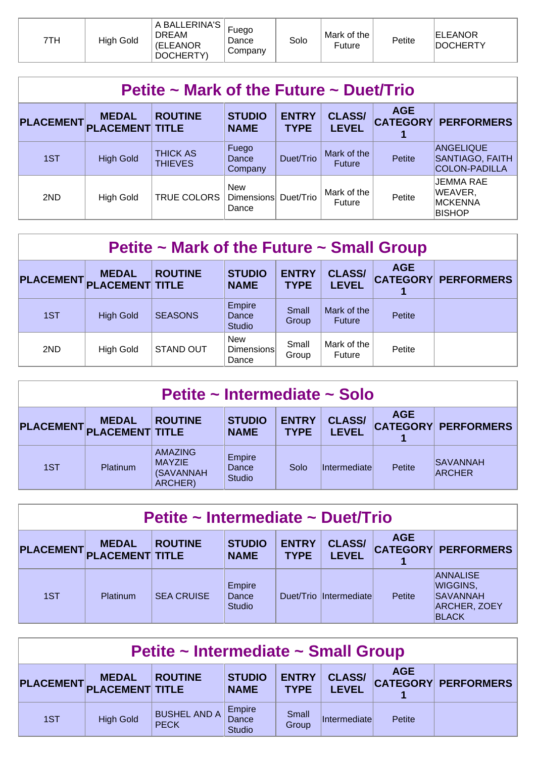| 7TH | <b>High Gold</b> | A BALLERINA'S<br><b>DREAM</b><br>(ELEANOR<br>DOCHERTY) | Fuego<br>Dance<br>Company | Solo | Mark of the<br>Future | Petite | <b>IELEANOR</b><br><b>DOCHERTY</b> |
|-----|------------------|--------------------------------------------------------|---------------------------|------|-----------------------|--------|------------------------------------|
|-----|------------------|--------------------------------------------------------|---------------------------|------|-----------------------|--------|------------------------------------|

| Petite $\sim$ Mark of the Future $\sim$ Duet/Trio |                                        |                                   |                                   |                             |                               |            |                                                         |  |  |  |
|---------------------------------------------------|----------------------------------------|-----------------------------------|-----------------------------------|-----------------------------|-------------------------------|------------|---------------------------------------------------------|--|--|--|
| <b>PLACEMENT</b>                                  | <b>MEDAL</b><br><b>PLACEMENT TITLE</b> | <b>ROUTINE</b>                    | <b>STUDIO</b><br><b>NAME</b>      | <b>ENTRY</b><br><b>TYPE</b> | <b>CLASS/</b><br><b>LEVEL</b> | <b>AGE</b> | <b>CATEGORY PERFORMERS</b>                              |  |  |  |
| 1ST                                               | <b>High Gold</b>                       | <b>THICK AS</b><br><b>THIEVES</b> | Fuego<br>Dance<br>Company         | Duet/Trio                   | Mark of the<br><b>Future</b>  | Petite     | ANGELIQUE<br>SANTIAGO, FAITH<br><b>COLON-PADILLA</b>    |  |  |  |
| 2ND                                               | <b>High Gold</b>                       | TRUE COLORS                       | <b>New</b><br>Dimensions<br>Dance | Duet/Trio                   | Mark of the<br>Future         | Petite     | JEMMA RAE<br>WEAVER,<br><b>MCKENNA</b><br><b>BISHOP</b> |  |  |  |

| Petite $\sim$ Mark of the Future $\sim$ Small Group |                                        |                  |                                          |                             |                               |            |                            |  |  |  |  |
|-----------------------------------------------------|----------------------------------------|------------------|------------------------------------------|-----------------------------|-------------------------------|------------|----------------------------|--|--|--|--|
| <b>PLACEMENT</b>                                    | <b>MEDAL</b><br><b>PLACEMENT TITLE</b> | <b>ROUTINE</b>   | <b>STUDIO</b><br><b>NAME</b>             | <b>ENTRY</b><br><b>TYPE</b> | <b>CLASS/</b><br><b>LEVEL</b> | <b>AGE</b> | <b>CATEGORY PERFORMERS</b> |  |  |  |  |
| 1ST                                                 | <b>High Gold</b>                       | <b>SEASONS</b>   | Empire<br>Dance<br><b>Studio</b>         | Small<br>Group              | Mark of the<br><b>Future</b>  | Petite     |                            |  |  |  |  |
| 2ND                                                 | <b>High Gold</b>                       | <b>STAND OUT</b> | <b>New</b><br><b>Dimensions</b><br>Dance | Small<br>Group              | Mark of the<br><b>Future</b>  | Petite     |                            |  |  |  |  |

| Petite ~ Intermediate ~ Solo                                                                                                                                                                            |                 |                                                         |                                  |      |                     |               |                                  |  |  |
|---------------------------------------------------------------------------------------------------------------------------------------------------------------------------------------------------------|-----------------|---------------------------------------------------------|----------------------------------|------|---------------------|---------------|----------------------------------|--|--|
| <b>AGE</b><br><b>ENTRY</b><br><b>STUDIO</b><br><b>CLASS/</b><br><b>ROUTINE</b><br><b>MEDAL</b><br><b>CATEGORY PERFORMERS</b><br>PLACEMENT PLACEMENT TITLE<br><b>LEVEL</b><br><b>TYPE</b><br><b>NAME</b> |                 |                                                         |                                  |      |                     |               |                                  |  |  |
| 1ST                                                                                                                                                                                                     | <b>Platinum</b> | <b>AMAZING</b><br><b>MAYZIE</b><br>(SAVANNAH<br>ARCHER) | Empire<br>Dance<br><b>Studio</b> | Solo | <i>Intermediate</i> | <b>Petite</b> | <b>SAVANNAH</b><br><b>ARCHER</b> |  |  |

| Petite ~ Intermediate ~ Duet/Trio |                                        |                   |                                  |                             |                               |            |                                                                                        |  |  |  |
|-----------------------------------|----------------------------------------|-------------------|----------------------------------|-----------------------------|-------------------------------|------------|----------------------------------------------------------------------------------------|--|--|--|
| <b>PLACEMENT</b>                  | <b>MEDAL</b><br><b>PLACEMENT TITLE</b> | <b>ROUTINE</b>    | <b>STUDIO</b><br><b>NAME</b>     | <b>ENTRY</b><br><b>TYPE</b> | <b>CLASS/</b><br><b>LEVEL</b> | <b>AGE</b> | <b>CATEGORY PERFORMERS</b>                                                             |  |  |  |
| 1ST                               | <b>Platinum</b>                        | <b>SEA CRUISE</b> | Empire<br>Dance<br><b>Studio</b> |                             | Duet/Trio Intermediate        | Petite     | <b>ANNALISE</b><br> WIGGINS,<br><b>SAVANNAH</b><br><b>ARCHER, ZOEY</b><br><b>BLACK</b> |  |  |  |

| Petite ~ Intermediate ~ Small Group                                                                                                                                                                     |                  |                                    |                           |                |                      |        |  |  |  |
|---------------------------------------------------------------------------------------------------------------------------------------------------------------------------------------------------------|------------------|------------------------------------|---------------------------|----------------|----------------------|--------|--|--|--|
| <b>AGE</b><br><b>STUDIO</b><br><b>ENTRY</b><br><b>CLASS/</b><br><b>ROUTINE</b><br><b>MEDAL</b><br><b>CATEGORY PERFORMERS</b><br>PLACEMENT PLACEMENT TITLE<br><b>LEVEL</b><br><b>TYPE</b><br><b>NAME</b> |                  |                                    |                           |                |                      |        |  |  |  |
| 1ST                                                                                                                                                                                                     | <b>High Gold</b> | <b>BUSHEL AND A</b><br><b>PECK</b> | Empire<br>Dance<br>Studio | Small<br>Group | <i>Intermediatel</i> | Petite |  |  |  |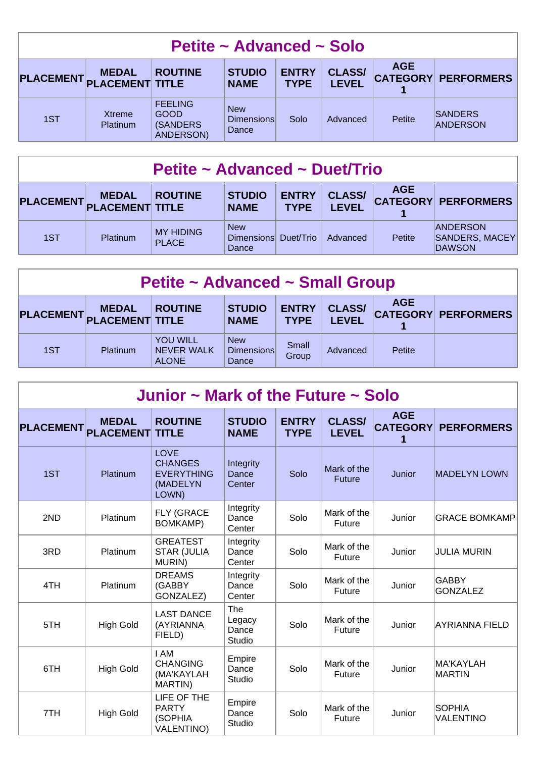| Petite ~ Advanced ~ Solo                                                                                                                                                                                |                           |                                                                |                                          |      |          |               |                                   |  |  |  |
|---------------------------------------------------------------------------------------------------------------------------------------------------------------------------------------------------------|---------------------------|----------------------------------------------------------------|------------------------------------------|------|----------|---------------|-----------------------------------|--|--|--|
| <b>AGE</b><br><b>ENTRY</b><br><b>CLASS/</b><br><b>STUDIO</b><br><b>ROUTINE</b><br><b>MEDAL</b><br><b>CATEGORY PERFORMERS</b><br>PLACEMENT PLACEMENT TITLE<br><b>LEVEL</b><br><b>TYPE</b><br><b>NAME</b> |                           |                                                                |                                          |      |          |               |                                   |  |  |  |
| 1ST                                                                                                                                                                                                     | Xtreme<br><b>Platinum</b> | <b>FEELING</b><br><b>GOOD</b><br><b>(SANDERS)</b><br>ANDERSON) | <b>New</b><br><b>Dimensions</b><br>Dance | Solo | Advanced | <b>Petite</b> | <b>SANDERS</b><br><b>ANDERSON</b> |  |  |  |

| Petite ~ Advanced ~ Duet/Trio                                                                                                                                                                           |          |                                  |                                             |  |          |        |                                                    |  |  |
|---------------------------------------------------------------------------------------------------------------------------------------------------------------------------------------------------------|----------|----------------------------------|---------------------------------------------|--|----------|--------|----------------------------------------------------|--|--|
| <b>AGE</b><br><b>CLASS/</b><br><b>ENTRY</b><br><b>STUDIO</b><br><b>ROUTINE</b><br><b>MEDAL</b><br><b>CATEGORY PERFORMERS</b><br>PLACEMENT PLACEMENT TITLE<br><b>LEVEL</b><br><b>TYPE</b><br><b>NAME</b> |          |                                  |                                             |  |          |        |                                                    |  |  |
| 1ST                                                                                                                                                                                                     | Platinum | <b>MY HIDING</b><br><b>PLACE</b> | <b>New</b><br>Dimensions Duet/Trio<br>Dance |  | Advanced | Petite | <b>ANDERSON</b><br>SANDERS, MACEY<br><b>DAWSON</b> |  |  |

| <b>Petite ~ Advanced ~ Small Group</b>                                                                                                                                                                                   |          |                                               |                                   |                |          |        |  |  |  |
|--------------------------------------------------------------------------------------------------------------------------------------------------------------------------------------------------------------------------|----------|-----------------------------------------------|-----------------------------------|----------------|----------|--------|--|--|--|
| <b>AGE</b><br><b>ENTRY</b><br><b>STUDIO</b><br><b>CLASS/</b><br><b>ROUTINE</b><br><b>MEDAL</b><br><b>CATEGORY PERFORMERS</b><br><b>PLACEMENT</b><br><b>PLACEMENT TITLE</b><br><b>LEVEL</b><br><b>TYPE</b><br><b>NAME</b> |          |                                               |                                   |                |          |        |  |  |  |
| 1ST                                                                                                                                                                                                                      | Platinum | <b>YOU WILL</b><br>NEVER WALK<br><b>ALONE</b> | <b>New</b><br>Dimensions<br>Dance | Small<br>Group | Advanced | Petite |  |  |  |

| Junior $\sim$ Mark of the Future $\sim$ Solo |                                  |                                                                         |                                  |                             |                               |                                    |                                   |  |  |  |
|----------------------------------------------|----------------------------------|-------------------------------------------------------------------------|----------------------------------|-----------------------------|-------------------------------|------------------------------------|-----------------------------------|--|--|--|
| <b>PLACEMENT</b>                             | <b>MEDAL</b><br><b>PLACEMENT</b> | <b>ROUTINE</b><br><b>TITLE</b>                                          | <b>STUDIO</b><br><b>NAME</b>     | <b>ENTRY</b><br><b>TYPE</b> | <b>CLASS/</b><br><b>LEVEL</b> | <b>AGE</b><br><b>CATEGORY</b><br>1 | <b>PERFORMERS</b>                 |  |  |  |
| 1ST                                          | <b>Platinum</b>                  | <b>LOVE</b><br><b>CHANGES</b><br><b>EVERYTHING</b><br>(MADELYN<br>LOWN) | Integrity<br>Dance<br>Center     | Solo                        | Mark of the<br><b>Future</b>  | Junior                             | <b>MADELYN LOWN</b>               |  |  |  |
| 2ND                                          | Platinum                         | FLY (GRACE<br><b>BOMKAMP)</b>                                           | Integrity<br>Dance<br>Center     | Solo                        | Mark of the<br>Future         | Junior                             | <b>GRACE BOMKAMP</b>              |  |  |  |
| 3RD                                          | Platinum                         | <b>GREATEST</b><br><b>STAR (JULIA</b><br>MURIN)                         | Integrity<br>Dance<br>Center     | Solo                        | Mark of the<br>Future         | Junior                             | <b>JULIA MURIN</b>                |  |  |  |
| 4TH                                          | Platinum                         | <b>DREAMS</b><br>(GABBY<br>GONZALEZ)                                    | Integrity<br>Dance<br>Center     | Solo                        | Mark of the<br>Future         | Junior                             | <b>GABBY</b><br><b>GONZALEZ</b>   |  |  |  |
| 5TH                                          | <b>High Gold</b>                 | <b>LAST DANCE</b><br>(AYRIANNA<br>FIELD)                                | The<br>Legacy<br>Dance<br>Studio | Solo                        | Mark of the<br>Future         | Junior                             | <b>AYRIANNA FIELD</b>             |  |  |  |
| 6TH                                          | <b>High Gold</b>                 | I AM<br><b>CHANGING</b><br>(MA'KAYLAH<br>MARTIN)                        | Empire<br>Dance<br>Studio        | Solo                        | Mark of the<br>Future         | Junior                             | MA'KAYLAH<br><b>MARTIN</b>        |  |  |  |
| 7TH                                          | <b>High Gold</b>                 | LIFE OF THE<br><b>PARTY</b><br>(SOPHIA<br><b>VALENTINO)</b>             | Empire<br>Dance<br>Studio        | Solo                        | Mark of the<br>Future         | Junior                             | <b>SOPHIA</b><br><b>VALENTINO</b> |  |  |  |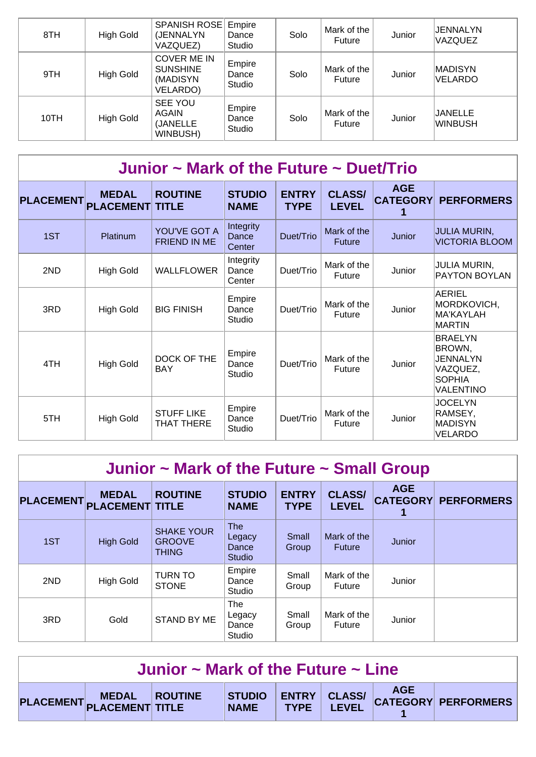| 8TH  | High Gold | <b>SPANISH ROSE Empire</b><br>(JENNALYN<br>VAZQUEZ)                  | Dance<br>Studio           | Solo | Mark of the<br>Future | Junior | JENNALYN<br><b>VAZQUEZ</b> |
|------|-----------|----------------------------------------------------------------------|---------------------------|------|-----------------------|--------|----------------------------|
| 9TH  | High Gold | <b>COVER ME IN</b><br><b>SUNSHINE</b><br>(MADISYN<br><b>VELARDO)</b> | Empire<br>Dance<br>Studio | Solo | Mark of the<br>Future | Junior | <b>MADISYN</b><br>VELARDO  |
| 10TH | High Gold | SEE YOU<br>AGAIN<br>(JANELLE<br>WINBUSH)                             | Empire<br>Dance<br>Studio | Solo | Mark of the<br>Future | Junior | JANELLE<br>WINBUSH         |

| Junior $\sim$ Mark of the Future $\sim$ Duet/Trio |                                  |                                     |                              |                             |                               |                               |                                                                                |  |  |  |  |
|---------------------------------------------------|----------------------------------|-------------------------------------|------------------------------|-----------------------------|-------------------------------|-------------------------------|--------------------------------------------------------------------------------|--|--|--|--|
| <b>PLACEMENT</b>                                  | <b>MEDAL</b><br><b>PLACEMENT</b> | <b>ROUTINE</b><br><b>TITLE</b>      | <b>STUDIO</b><br><b>NAME</b> | <b>ENTRY</b><br><b>TYPE</b> | <b>CLASS/</b><br><b>LEVEL</b> | <b>AGE</b><br><b>CATEGORY</b> | <b>PERFORMERS</b>                                                              |  |  |  |  |
| 1ST                                               | Platinum                         | YOU'VE GOT A<br><b>FRIEND IN ME</b> | Integrity<br>Dance<br>Center | Duet/Trio                   | Mark of the<br><b>Future</b>  | Junior                        | JULIA MURIN,<br><b>VICTORIA BLOOM</b>                                          |  |  |  |  |
| 2ND                                               | <b>High Gold</b>                 | <b>WALLFLOWER</b>                   | Integrity<br>Dance<br>Center | Duet/Trio                   | Mark of the<br>Future         | Junior                        | <b>JULIA MURIN,</b><br><b>PAYTON BOYLAN</b>                                    |  |  |  |  |
| 3RD                                               | <b>High Gold</b>                 | <b>BIG FINISH</b>                   | Empire<br>Dance<br>Studio    | Duet/Trio                   | Mark of the<br>Future         | Junior                        | AERIEL<br>MORDKOVICH,<br>MA'KAYLAH<br>MARTIN                                   |  |  |  |  |
| 4TH                                               | High Gold                        | DOCK OF THE<br><b>BAY</b>           | Empire<br>Dance<br>Studio    | Duet/Trio                   | Mark of the<br>Future         | Junior                        | <b>BRAELYN</b><br>BROWN,<br>JENNALYN<br>VAZQUEZ,<br><b>SOPHIA</b><br>VALENTINO |  |  |  |  |
| 5TH                                               | <b>High Gold</b>                 | <b>STUFF LIKE</b><br>THAT THERE     | Empire<br>Dance<br>Studio    | Duet/Trio                   | Mark of the<br>Future         | Junior                        | <b>JOCELYN</b><br>RAMSEY,<br>MADISYN<br>VELARDO                                |  |  |  |  |

| Junior $\sim$ Mark of the Future $\sim$ Small Group |                                        |                                                    |                                                |                             |                               |            |                            |  |  |  |
|-----------------------------------------------------|----------------------------------------|----------------------------------------------------|------------------------------------------------|-----------------------------|-------------------------------|------------|----------------------------|--|--|--|
| <b>PLACEMENT</b>                                    | <b>MEDAL</b><br><b>PLACEMENT TITLE</b> | <b>ROUTINE</b>                                     | <b>STUDIO</b><br><b>NAME</b>                   | <b>ENTRY</b><br><b>TYPE</b> | <b>CLASS/</b><br><b>LEVEL</b> | <b>AGE</b> | <b>CATEGORY PERFORMERS</b> |  |  |  |
| 1ST                                                 | <b>High Gold</b>                       | <b>SHAKE YOUR</b><br><b>GROOVE</b><br><b>THING</b> | <b>The</b><br>Legacy<br>Dance<br><b>Studio</b> | Small<br>Group              | Mark of the<br><b>Future</b>  | Junior     |                            |  |  |  |
| 2ND                                                 | <b>High Gold</b>                       | <b>TURN TO</b><br><b>STONE</b>                     | Empire<br>Dance<br>Studio                      | Small<br>Group              | Mark of the<br><b>Future</b>  | Junior     |                            |  |  |  |
| 3RD                                                 | Gold                                   | <b>STAND BY ME</b>                                 | The<br>Legacy<br>Dance<br>Studio               | Small<br>Group              | Mark of the<br><b>Future</b>  | Junior     |                            |  |  |  |

| Junior $\sim$ Mark of the Future $\sim$ Line |                         |  |  |  |  |  |                                                                |  |  |
|----------------------------------------------|-------------------------|--|--|--|--|--|----------------------------------------------------------------|--|--|
|                                              | PLACEMENT MEDAL ROUTINE |  |  |  |  |  | STUDIO ENTRY CLASS/ AGE<br>'AME TYPE LEVEL CATEGORY PERFORMERS |  |  |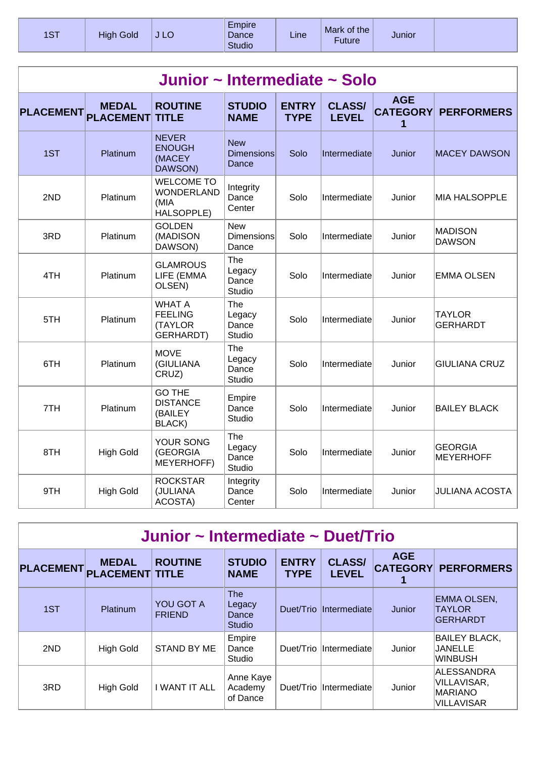| 1ST | <b>High Gold</b> | J LO | Empire<br>Dance<br><b>Studio</b> | Line | Mark of the<br>Future | Junior |  |
|-----|------------------|------|----------------------------------|------|-----------------------|--------|--|
|-----|------------------|------|----------------------------------|------|-----------------------|--------|--|

| Junior ~ Intermediate ~ Solo |                                  |                                                                |                                          |                             |                               |                                    |                                    |  |  |  |
|------------------------------|----------------------------------|----------------------------------------------------------------|------------------------------------------|-----------------------------|-------------------------------|------------------------------------|------------------------------------|--|--|--|
| <b>PLACEMENT</b>             | <b>MEDAL</b><br><b>PLACEMENT</b> | <b>ROUTINE</b><br><b>TITLE</b>                                 | <b>STUDIO</b><br><b>NAME</b>             | <b>ENTRY</b><br><b>TYPE</b> | <b>CLASS/</b><br><b>LEVEL</b> | <b>AGE</b><br><b>CATEGORY</b><br>1 | <b>PERFORMERS</b>                  |  |  |  |
| 1ST                          | Platinum                         | <b>NEVER</b><br><b>ENOUGH</b><br>(MACEY<br>DAWSON)             | <b>New</b><br><b>Dimensions</b><br>Dance | Solo                        | Intermediate                  | Junior                             | <b>MACEY DAWSON</b>                |  |  |  |
| 2ND                          | Platinum                         | <b>WELCOME TO</b><br><b>WONDERLAND</b><br>(MIA<br>HALSOPPLE)   | Integrity<br>Dance<br>Center             | Solo                        | Intermediate                  | Junior                             | <b>MIA HALSOPPLE</b>               |  |  |  |
| 3RD                          | Platinum                         | <b>GOLDEN</b><br>(MADISON<br>DAWSON)                           | <b>New</b><br><b>Dimensions</b><br>Dance | Solo                        | Intermediate                  | Junior                             | <b>MADISON</b><br><b>DAWSON</b>    |  |  |  |
| 4TH                          | Platinum                         | <b>GLAMROUS</b><br>LIFE (EMMA<br>OLSEN)                        | The<br>Legacy<br>Dance<br><b>Studio</b>  | Solo                        | Intermediate                  | Junior                             | <b>EMMA OLSEN</b>                  |  |  |  |
| 5TH                          | Platinum                         | <b>WHAT A</b><br><b>FEELING</b><br><b>(TAYLOR</b><br>GERHARDT) | The<br>Legacy<br>Dance<br><b>Studio</b>  | Solo                        | Intermediate                  | Junior                             | <b>TAYLOR</b><br><b>GERHARDT</b>   |  |  |  |
| 6TH                          | Platinum                         | <b>MOVE</b><br>(GIULIANA<br>CRUZ)                              | The<br>Legacy<br>Dance<br>Studio         | Solo                        | Intermediate                  | Junior                             | <b>GIULIANA CRUZ</b>               |  |  |  |
| 7TH                          | Platinum                         | <b>GO THE</b><br><b>DISTANCE</b><br>(BAILEY<br>BLACK)          | Empire<br>Dance<br><b>Studio</b>         | Solo                        | Intermediate                  | Junior                             | <b>BAILEY BLACK</b>                |  |  |  |
| 8TH                          | <b>High Gold</b>                 | YOUR SONG<br>(GEORGIA<br>MEYERHOFF)                            | The<br>Legacy<br>Dance<br>Studio         | Solo                        | Intermediate                  | Junior                             | <b>GEORGIA</b><br><b>MEYERHOFF</b> |  |  |  |
| 9TH                          | <b>High Gold</b>                 | <b>ROCKSTAR</b><br>(JULIANA<br>ACOSTA)                         | Integrity<br>Dance<br>Center             | Solo                        | Intermediate                  | Junior                             | <b>JULIANA ACOSTA</b>              |  |  |  |

| Junior ~ Intermediate ~ Duet/Trio |                                        |                            |                                                |                             |                               |            |                                                           |  |  |  |
|-----------------------------------|----------------------------------------|----------------------------|------------------------------------------------|-----------------------------|-------------------------------|------------|-----------------------------------------------------------|--|--|--|
| <b>PLACEMENT</b>                  | <b>MEDAL</b><br><b>PLACEMENT TITLE</b> | <b>ROUTINE</b>             | <b>STUDIO</b><br><b>NAME</b>                   | <b>ENTRY</b><br><b>TYPE</b> | <b>CLASS/</b><br><b>LEVEL</b> | <b>AGE</b> | <b>CATEGORY PERFORMERS</b>                                |  |  |  |
| 1ST                               | <b>Platinum</b>                        | YOU GOT A<br><b>FRIEND</b> | <b>The</b><br>Legacy<br>Dance<br><b>Studio</b> | Duet/Trio                   | Intermediate                  | Junior     | <b>EMMA OLSEN,</b><br><b>TAYLOR</b><br><b>GERHARDT</b>    |  |  |  |
| 2ND                               | <b>High Gold</b>                       | <b>STAND BY ME</b>         | Empire<br>Dance<br>Studio                      | Duet/Trio                   | Intermediate                  | Junior     | <b>BAILEY BLACK,</b><br>JANELLE<br>∣WINBUSH               |  |  |  |
| 3RD                               | <b>High Gold</b>                       | I WANT IT ALL              | Anne Kaye<br>Academy<br>of Dance               | Duet/Trio                   | Intermediate                  | Junior     | ALESSANDRA<br>VILLAVISAR,<br><b>MARIANO</b><br>VILLAVISAR |  |  |  |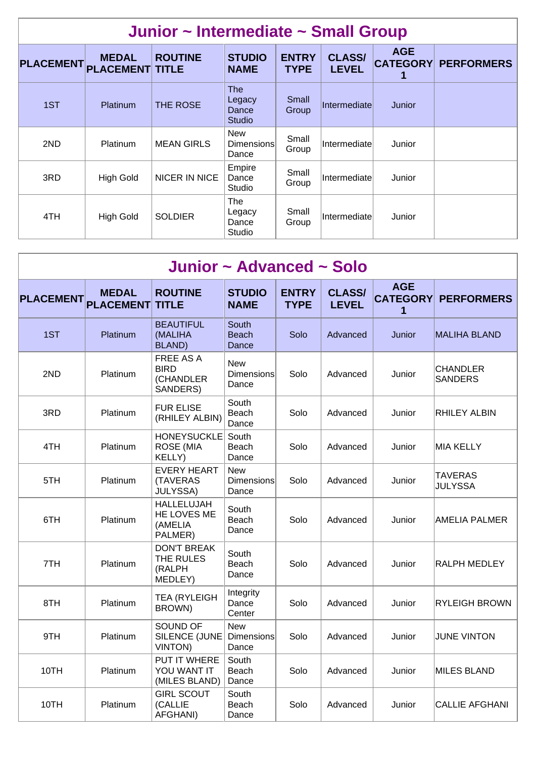| Junior ~ Intermediate ~ Small Group |                                        |                   |                                                |                             |                               |                               |                   |  |  |  |  |
|-------------------------------------|----------------------------------------|-------------------|------------------------------------------------|-----------------------------|-------------------------------|-------------------------------|-------------------|--|--|--|--|
| <b>PLACEMENT</b>                    | <b>MEDAL</b><br><b>PLACEMENT TITLE</b> | <b>ROUTINE</b>    | <b>STUDIO</b><br><b>NAME</b>                   | <b>ENTRY</b><br><b>TYPE</b> | <b>CLASS/</b><br><b>LEVEL</b> | <b>AGE</b><br><b>CATEGORY</b> | <b>PERFORMERS</b> |  |  |  |  |
| 1ST                                 | <b>Platinum</b>                        | THE ROSE          | <b>The</b><br>Legacy<br>Dance<br><b>Studio</b> | Small<br>Group              | Intermediate                  | Junior                        |                   |  |  |  |  |
| 2ND                                 | <b>Platinum</b>                        | <b>MEAN GIRLS</b> | <b>New</b><br><b>Dimensions</b><br>Dance       | Small<br>Group              | Intermediate                  | Junior                        |                   |  |  |  |  |
| 3RD                                 | <b>High Gold</b>                       | NICER IN NICE     | Empire<br>Dance<br>Studio                      | Small<br>Group              | Intermediate                  | Junior                        |                   |  |  |  |  |
| 4TH                                 | <b>High Gold</b>                       | <b>SOLDIER</b>    | The<br>Legacy<br>Dance<br>Studio               | Small<br>Group              | Intermediate                  | Junior                        |                   |  |  |  |  |

| Junior ~ Advanced ~ Solo |                                  |                                                        |                                          |                             |                               |                                    |                                   |  |  |  |  |
|--------------------------|----------------------------------|--------------------------------------------------------|------------------------------------------|-----------------------------|-------------------------------|------------------------------------|-----------------------------------|--|--|--|--|
| <b>PLACEMENT</b>         | <b>MEDAL</b><br><b>PLACEMENT</b> | <b>ROUTINE</b><br><b>TITLE</b>                         | <b>STUDIO</b><br><b>NAME</b>             | <b>ENTRY</b><br><b>TYPE</b> | <b>CLASS/</b><br><b>LEVEL</b> | <b>AGE</b><br><b>CATEGORY</b><br>1 | <b>PERFORMERS</b>                 |  |  |  |  |
| 1ST                      | Platinum                         | <b>BEAUTIFUL</b><br>(MALIHA<br><b>BLAND</b> )          | South<br><b>Beach</b><br>Dance           | Solo                        | Advanced                      | Junior                             | <b>MALIHA BLAND</b>               |  |  |  |  |
| 2ND                      | Platinum                         | FREE AS A<br><b>BIRD</b><br>(CHANDLER<br>SANDERS)      | <b>New</b><br><b>Dimensions</b><br>Dance | Solo                        | Advanced                      | Junior                             | <b>CHANDLER</b><br><b>SANDERS</b> |  |  |  |  |
| 3RD                      | Platinum                         | <b>FUR ELISE</b><br>(RHILEY ALBIN)                     | South<br>Beach<br>Dance                  | Solo                        | Advanced                      | Junior                             | <b>RHILEY ALBIN</b>               |  |  |  |  |
| 4TH                      | Platinum                         | <b>HONEYSUCKLE</b><br><b>ROSE (MIA</b><br>KELLY)       | South<br>Beach<br>Dance                  | Solo                        | Advanced                      | Junior                             | MIA KELLY                         |  |  |  |  |
| 5TH                      | Platinum                         | <b>EVERY HEART</b><br>(TAVERAS<br><b>JULYSSA)</b>      | <b>New</b><br><b>Dimensions</b><br>Dance | Solo                        | Advanced                      | Junior                             | <b>TAVERAS</b><br><b>JULYSSA</b>  |  |  |  |  |
| 6TH                      | Platinum                         | <b>HALLELUJAH</b><br>HE LOVES ME<br>(AMELIA<br>PALMER) | South<br>Beach<br>Dance                  | Solo                        | Advanced                      | Junior                             | <b>AMELIA PALMER</b>              |  |  |  |  |
| 7TH                      | Platinum                         | <b>DON'T BREAK</b><br>THE RULES<br>(RALPH<br>MEDLEY)   | South<br>Beach<br>Dance                  | Solo                        | Advanced                      | Junior                             | RALPH MEDLEY                      |  |  |  |  |
| 8TH                      | Platinum                         | <b>TEA (RYLEIGH)</b><br>BROWN)                         | Integrity<br>Dance<br>Center             | Solo                        | Advanced                      | Junior                             | <b>RYLEIGH BROWN</b>              |  |  |  |  |
| 9TH                      | Platinum                         | SOUND OF<br>SILENCE (JUNE<br><b>VINTON)</b>            | <b>New</b><br><b>Dimensions</b><br>Dance | Solo                        | Advanced                      | Junior                             | <b>JUNE VINTON</b>                |  |  |  |  |
| 10TH                     | Platinum                         | PUT IT WHERE<br>YOU WANT IT<br>(MILES BLAND)           | South<br>Beach<br>Dance                  | Solo                        | Advanced                      | Junior                             | <b>MILES BLAND</b>                |  |  |  |  |
| 10TH                     | Platinum                         | <b>GIRL SCOUT</b><br>(CALLIE<br>AFGHANI)               | South<br>Beach<br>Dance                  | Solo                        | Advanced                      | Junior                             | <b>CALLIE AFGHANI</b>             |  |  |  |  |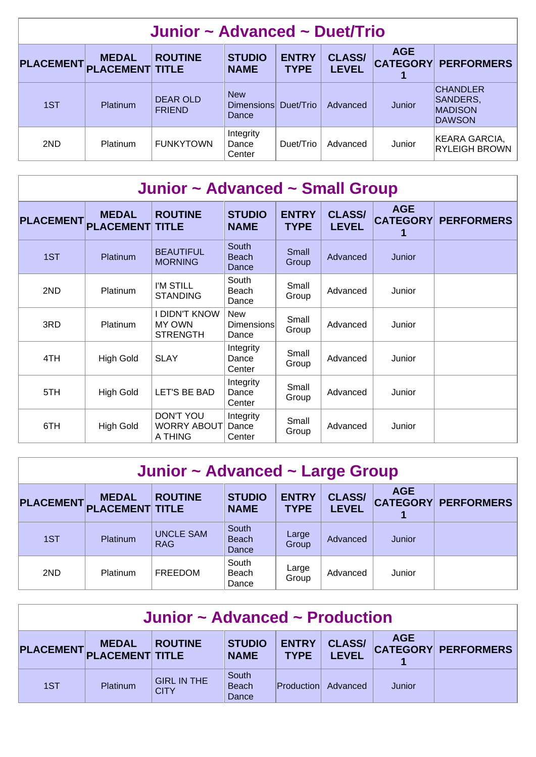| Junior ~ Advanced ~ Duet/Trio                                                                                                                                                                                            |          |                                  |                                             |           |          |        |                                                                |  |  |  |
|--------------------------------------------------------------------------------------------------------------------------------------------------------------------------------------------------------------------------|----------|----------------------------------|---------------------------------------------|-----------|----------|--------|----------------------------------------------------------------|--|--|--|
| <b>AGE</b><br><b>CLASS/</b><br><b>ENTRY</b><br><b>ROUTINE</b><br><b>STUDIO</b><br><b>MEDAL</b><br><b>CATEGORY PERFORMERS</b><br><b>PLACEMENT</b><br><b>PLACEMENT TITLE</b><br><b>LEVEL</b><br><b>TYPE</b><br><b>NAME</b> |          |                                  |                                             |           |          |        |                                                                |  |  |  |
| 1ST                                                                                                                                                                                                                      | Platinum | <b>DEAR OLD</b><br><b>FRIEND</b> | <b>New</b><br>Dimensions Duet/Trio<br>Dance |           | Advanced | Junior | <b>CHANDLER</b><br>SANDERS,<br><b>MADISON</b><br><b>DAWSON</b> |  |  |  |
| 2ND                                                                                                                                                                                                                      | Platinum | <b>FUNKYTOWN</b>                 | Integrity<br>Dance<br>Center                | Duet/Trio | Advanced | Junior | KEARA GARCIA,<br><b>RYLEIGH BROWN</b>                          |  |  |  |

| Junior ~ Advanced ~ Small Group |                                  |                                                          |                                          |                             |                               |                               |                   |  |  |  |
|---------------------------------|----------------------------------|----------------------------------------------------------|------------------------------------------|-----------------------------|-------------------------------|-------------------------------|-------------------|--|--|--|
| <b>PLACEMENT</b>                | <b>MEDAL</b><br><b>PLACEMENT</b> | <b>ROUTINE</b><br><b>TITLE</b>                           | <b>STUDIO</b><br><b>NAME</b>             | <b>ENTRY</b><br><b>TYPE</b> | <b>CLASS/</b><br><b>LEVEL</b> | <b>AGE</b><br><b>CATEGORY</b> | <b>PERFORMERS</b> |  |  |  |
| 1ST                             | Platinum                         | <b>BEAUTIFUL</b><br><b>MORNING</b>                       | South<br><b>Beach</b><br>Dance           | Small<br>Group              | Advanced                      | Junior                        |                   |  |  |  |
| 2ND                             | <b>Platinum</b>                  | I'M STILL<br><b>STANDING</b>                             | South<br>Beach<br>Dance                  | Small<br>Group              | Advanced                      | Junior                        |                   |  |  |  |
| 3RD                             | Platinum                         | <b>I DIDN'T KNOW</b><br><b>MY OWN</b><br><b>STRENGTH</b> | <b>New</b><br><b>Dimensions</b><br>Dance | Small<br>Group              | Advanced                      | Junior                        |                   |  |  |  |
| 4TH                             | <b>High Gold</b>                 | <b>SLAY</b>                                              | Integrity<br>Dance<br>Center             | Small<br>Group              | Advanced                      | Junior                        |                   |  |  |  |
| 5TH                             | <b>High Gold</b>                 | LET'S BE BAD                                             | Integrity<br>Dance<br>Center             | Small<br>Group              | Advanced                      | Junior                        |                   |  |  |  |
| 6TH                             | <b>High Gold</b>                 | <b>DON'T YOU</b><br><b>WORRY ABOUT</b><br>A THING        | Integrity<br>Dance<br>Center             | Small<br>Group              | Advanced                      | Junior                        |                   |  |  |  |

| Junior ~ Advanced ~ Large Group                                                                                                                                                                                          |          |                                |                                |                |          |        |  |  |  |  |
|--------------------------------------------------------------------------------------------------------------------------------------------------------------------------------------------------------------------------|----------|--------------------------------|--------------------------------|----------------|----------|--------|--|--|--|--|
| <b>AGE</b><br><b>ENTRY</b><br><b>ROUTINE</b><br><b>STUDIO</b><br><b>CLASS/</b><br><b>MEDAL</b><br><b>PLACEMENT</b><br><b>CATEGORY PERFORMERS</b><br><b>PLACEMENT TITLE</b><br><b>LEVEL</b><br><b>TYPE</b><br><b>NAME</b> |          |                                |                                |                |          |        |  |  |  |  |
| 1ST                                                                                                                                                                                                                      | Platinum | <b>UNCLE SAM</b><br><b>RAG</b> | South<br><b>Beach</b><br>Dance | Large<br>Group | Advanced | Junior |  |  |  |  |
| South<br>Large<br>2ND<br><b>FREEDOM</b><br>Platinum<br>Junior<br>Advanced<br>Beach<br>Group<br>Dance                                                                                                                     |          |                                |                                |                |          |        |  |  |  |  |

| Junior ~ Advanced ~ Production                                                                                                                                                                     |          |                                   |                                |            |          |        |  |  |  |  |
|----------------------------------------------------------------------------------------------------------------------------------------------------------------------------------------------------|----------|-----------------------------------|--------------------------------|------------|----------|--------|--|--|--|--|
| <b>AGE</b><br><b>ENTRY</b><br><b>CLASS/</b><br><b>STUDIO</b><br><b>ROUTINE</b><br><b>MEDAL</b><br><b>CATEGORY PERFORMERS</b><br>PLACEMENT PLACEMENT TITLE<br>TYPE  <br><b>LEVEL</b><br><b>NAME</b> |          |                                   |                                |            |          |        |  |  |  |  |
| 1ST                                                                                                                                                                                                | Platinum | <b>GIRL IN THE</b><br><b>CITY</b> | South<br><b>Beach</b><br>Dance | Production | Advanced | Junior |  |  |  |  |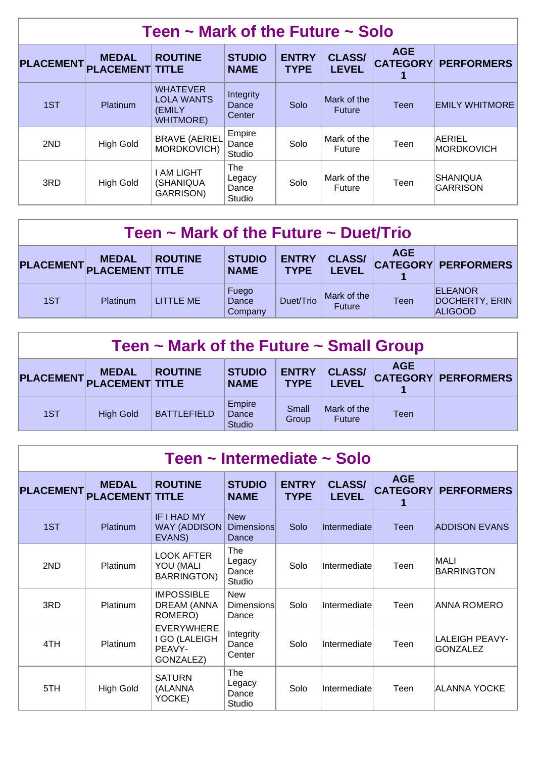| Teen $\sim$ Mark of the Future $\sim$ Solo |                                        |                                                                    |                                  |                             |                               |                               |                       |  |  |  |
|--------------------------------------------|----------------------------------------|--------------------------------------------------------------------|----------------------------------|-----------------------------|-------------------------------|-------------------------------|-----------------------|--|--|--|
| <b>PLACEMENT</b>                           | <b>MEDAL</b><br><b>PLACEMENT TITLE</b> | <b>ROUTINE</b>                                                     | <b>STUDIO</b><br><b>NAME</b>     | <b>ENTRY</b><br><b>TYPE</b> | <b>CLASS/</b><br><b>LEVEL</b> | <b>AGE</b><br><b>CATEGORY</b> | <b>PERFORMERS</b>     |  |  |  |
| 1ST                                        | <b>Platinum</b>                        | <b>WHATEVER</b><br><b>LOLA WANTS</b><br>(EMILY<br><b>WHITMORE)</b> | Integrity<br>Dance<br>Center     | Solo                        | Mark of the<br><b>Future</b>  | Teen                          | <b>EMILY WHITMORE</b> |  |  |  |
| 2ND                                        | <b>High Gold</b>                       | <b>BRAVE (AERIEL</b><br>MORDKOVICH)                                | Empire<br>Dance<br>Studio        | Solo                        | Mark of the<br><b>Future</b>  | Teen                          | AERIEL<br>MORDKOVICH  |  |  |  |
| 3RD                                        | <b>High Gold</b>                       | I AM LIGHT<br>(SHANIQUA<br><b>GARRISON)</b>                        | The<br>Legacy<br>Dance<br>Studio | Solo                        | Mark of the<br>Future         | Teen                          | SHANIQUA<br>GARRISON  |  |  |  |

| Teen $\sim$ Mark of the Future $\sim$ Duet/Trio                                                                                                                                                         |                 |           |                           |           |                              |      |                                                    |  |  |  |
|---------------------------------------------------------------------------------------------------------------------------------------------------------------------------------------------------------|-----------------|-----------|---------------------------|-----------|------------------------------|------|----------------------------------------------------|--|--|--|
| <b>AGE</b><br><b>CLASS/</b><br><b>ENTRY</b><br><b>STUDIO</b><br><b>ROUTINE</b><br><b>MEDAL</b><br><b>CATEGORY PERFORMERS</b><br>PLACEMENT PLACEMENT TITLE<br><b>LEVEL</b><br><b>NAME</b><br><b>TYPE</b> |                 |           |                           |           |                              |      |                                                    |  |  |  |
| 1ST                                                                                                                                                                                                     | <b>Platinum</b> | LITTLE ME | Fuego<br>Dance<br>Company | Duet/Trio | Mark of the<br><b>Future</b> | Teen | <b>ELEANOR</b><br>DOCHERTY, ERIN<br><b>ALIGOOD</b> |  |  |  |

| Teen $\sim$ Mark of the Future $\sim$ Small Group                                                                                                                                                       |                  |                    |                                  |                |                              |      |  |  |  |  |
|---------------------------------------------------------------------------------------------------------------------------------------------------------------------------------------------------------|------------------|--------------------|----------------------------------|----------------|------------------------------|------|--|--|--|--|
| <b>AGE</b><br><b>STUDIO</b><br><b>ENTRY</b><br><b>CLASS/</b><br><b>ROUTINE</b><br><b>MEDAL</b><br><b>CATEGORY PERFORMERS</b><br>PLACEMENT PLACEMENT TITLE<br><b>LEVEL</b><br><b>NAME</b><br><b>TYPE</b> |                  |                    |                                  |                |                              |      |  |  |  |  |
| 1ST                                                                                                                                                                                                     | <b>High Gold</b> | <b>BATTLEFIELD</b> | Empire<br>Dance<br><b>Studio</b> | Small<br>Group | Mark of the<br><b>Future</b> | Teen |  |  |  |  |

| Teen ~ Intermediate ~ Solo |                                  |                                                           |                                          |                             |                               |                                    |                                   |  |  |  |
|----------------------------|----------------------------------|-----------------------------------------------------------|------------------------------------------|-----------------------------|-------------------------------|------------------------------------|-----------------------------------|--|--|--|
| <b>PLACEMENT</b>           | <b>MEDAL</b><br><b>PLACEMENT</b> | <b>ROUTINE</b><br><b>TITLE</b>                            | <b>STUDIO</b><br><b>NAME</b>             | <b>ENTRY</b><br><b>TYPE</b> | <b>CLASS/</b><br><b>LEVEL</b> | <b>AGE</b><br><b>CATEGORY</b><br>1 | <b>PERFORMERS</b>                 |  |  |  |
| 1ST                        | <b>Platinum</b>                  | IF I HAD MY<br>WAY (ADDISON)<br>EVANS)                    | <b>New</b><br><b>Dimensions</b><br>Dance | Solo                        | Intermediate                  | Teen                               | <b>ADDISON EVANS</b>              |  |  |  |
| 2ND                        | Platinum                         | LOOK AFTER<br>YOU (MALI<br><b>BARRINGTON)</b>             | The<br>Legacy<br>Dance<br>Studio         | Solo                        | Intermediate                  | Teen                               | <b>MALI</b><br>BARRINGTON         |  |  |  |
| 3RD                        | Platinum                         | <b>IMPOSSIBLE</b><br><b>DREAM (ANNA</b><br>ROMERO)        | <b>New</b><br>Dimensions<br>Dance        | Solo                        | Intermediate                  | Teen                               | ANNA ROMERO                       |  |  |  |
| 4TH                        | <b>Platinum</b>                  | <b>EVERYWHERE</b><br>I GO (LALEIGH<br>PEAVY-<br>GONZALEZ) | Integrity<br>Dance<br>Center             | Solo                        | Intermediate                  | Teen                               | LALEIGH PEAVY-<br><b>GONZALEZ</b> |  |  |  |
| 5TH                        | <b>High Gold</b>                 | <b>SATURN</b><br>(ALANNA<br>YOCKE)                        | The<br>Legacy<br>Dance<br>Studio         | Solo                        | Intermediate                  | Teen                               | ALANNA YOCKE                      |  |  |  |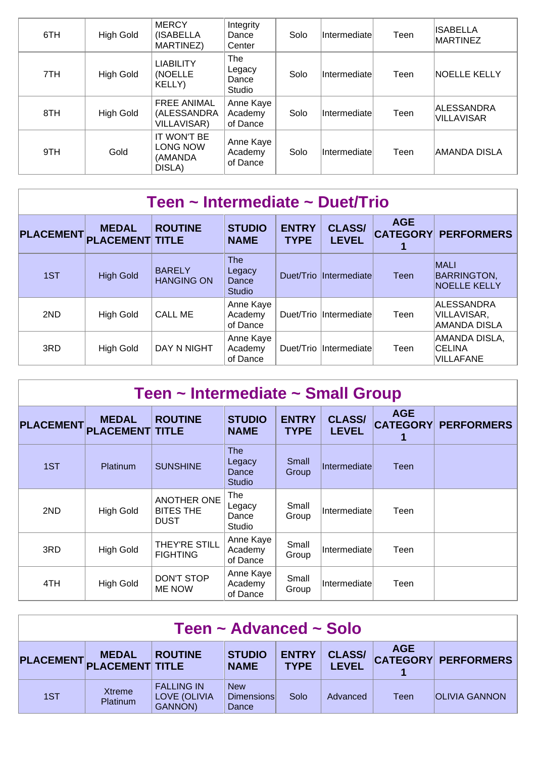| 6TH | High Gold | <b>MERCY</b><br>(ISABELLA<br>MARTINEZ)                  | Integrity<br>Dance<br>Center     | Solo | Intermediate | Teen | ISABELLA<br><b>MARTINEZ</b>     |
|-----|-----------|---------------------------------------------------------|----------------------------------|------|--------------|------|---------------------------------|
| 7TH | High Gold | <b>LIABILITY</b><br>(NOELLE<br>KELLY)                   | The<br>Legacy<br>Dance<br>Studio | Solo | Intermediate | Teen | <b>NOELLE KELLY</b>             |
| 8TH | High Gold | <b>FREE ANIMAL</b><br>(ALESSANDRA<br><b>VILLAVISAR)</b> | Anne Kaye<br>Academy<br>of Dance | Solo | Intermediate | Teen | ALESSANDRA<br><b>VILLAVISAR</b> |
| 9TH | Gold      | IT WON'T BE<br>LONG NOW<br>(AMANDA<br>DISLA)            | Anne Kaye<br>Academy<br>of Dance | Solo | Intermediate | Teen | AMANDA DISLA                    |

| Teen ~ Intermediate ~ Duet/Trio |                                        |                                    |                                                |                             |                               |                 |                                                          |  |  |  |
|---------------------------------|----------------------------------------|------------------------------------|------------------------------------------------|-----------------------------|-------------------------------|-----------------|----------------------------------------------------------|--|--|--|
| <b>PLACEMENT</b>                | <b>MEDAL</b><br><b>PLACEMENT TITLE</b> | <b>ROUTINE</b>                     | <b>STUDIO</b><br><b>NAME</b>                   | <b>ENTRY</b><br><b>TYPE</b> | <b>CLASS/</b><br><b>LEVEL</b> | <b>AGE</b><br>1 | <b>CATEGORY PERFORMERS</b>                               |  |  |  |
| 1ST                             | <b>High Gold</b>                       | <b>BARELY</b><br><b>HANGING ON</b> | <b>The</b><br>Legacy<br>Dance<br><b>Studio</b> |                             | Duet/Trio Intermediate        | Teen            | <b>MALI</b><br><b>BARRINGTON,</b><br><b>NOELLE KELLY</b> |  |  |  |
| 2ND                             | <b>High Gold</b>                       | <b>CALL ME</b>                     | Anne Kaye<br>Academy<br>of Dance               |                             | Duet/Trio Intermediate        | Teen            | ALESSANDRA<br>VILLAVISAR,<br>AMANDA DISLA                |  |  |  |
| 3RD                             | <b>High Gold</b>                       | DAY N NIGHT                        | Anne Kaye<br>Academy<br>of Dance               | Duet/Trio                   | <i>Intermediate</i>           | Teen            | AMANDA DISLA,<br><b>CELINA</b><br><b>VILLAFANE</b>       |  |  |  |

| Teen ~ Intermediate ~ Small Group                                                                                                                                                                                                       |                  |                                                       |                                                |                |               |      |  |  |  |  |
|-----------------------------------------------------------------------------------------------------------------------------------------------------------------------------------------------------------------------------------------|------------------|-------------------------------------------------------|------------------------------------------------|----------------|---------------|------|--|--|--|--|
| <b>AGE</b><br><b>ENTRY</b><br><b>ROUTINE</b><br><b>STUDIO</b><br><b>CLASS/</b><br><b>MEDAL</b><br><b>PLACEMENT</b><br><b>CATEGORY</b><br><b>PERFORMERS</b><br><b>PLACEMENT TITLE</b><br><b>LEVEL</b><br><b>TYPE</b><br><b>NAME</b><br>1 |                  |                                                       |                                                |                |               |      |  |  |  |  |
| 1ST                                                                                                                                                                                                                                     | <b>Platinum</b>  | <b>SUNSHINE</b>                                       | <b>The</b><br>Legacy<br>Dance<br><b>Studio</b> | Small<br>Group | Intermediatel | Teen |  |  |  |  |
| 2ND                                                                                                                                                                                                                                     | High Gold        | <b>ANOTHER ONE</b><br><b>BITES THE</b><br><b>DUST</b> | The<br>Legacy<br>Dance<br>Studio               | Small<br>Group | Intermediate  | Teen |  |  |  |  |
| 3RD                                                                                                                                                                                                                                     | <b>High Gold</b> | <b>THEY'RE STILL</b><br><b>FIGHTING</b>               | Anne Kaye<br>Academy<br>of Dance               | Small<br>Group | Intermediatel | Teen |  |  |  |  |
| 4TH                                                                                                                                                                                                                                     | <b>High Gold</b> | DON'T STOP<br><b>ME NOW</b>                           | Anne Kaye<br>Academy<br>of Dance               | Small<br>Group | Intermediatel | Teen |  |  |  |  |

| Teen ~ Advanced ~ Solo                                                                                                                                                                                  |                           |                                                            |                                          |      |          |      |                      |  |  |
|---------------------------------------------------------------------------------------------------------------------------------------------------------------------------------------------------------|---------------------------|------------------------------------------------------------|------------------------------------------|------|----------|------|----------------------|--|--|
| <b>AGE</b><br><b>ENTRY</b><br><b>STUDIO</b><br><b>CLASS/</b><br><b>ROUTINE</b><br><b>MEDAL</b><br><b>CATEGORY PERFORMERS</b><br>PLACEMENT PLACEMENT TITLE<br><b>LEVEL</b><br><b>TYPE</b><br><b>NAME</b> |                           |                                                            |                                          |      |          |      |                      |  |  |
| 1ST                                                                                                                                                                                                     | <b>Xtreme</b><br>Platinum | <b>FALLING IN</b><br><b>LOVE (OLIVIA</b><br><b>GANNON)</b> | <b>New</b><br><b>Dimensions</b><br>Dance | Solo | Advanced | Teen | <b>OLIVIA GANNON</b> |  |  |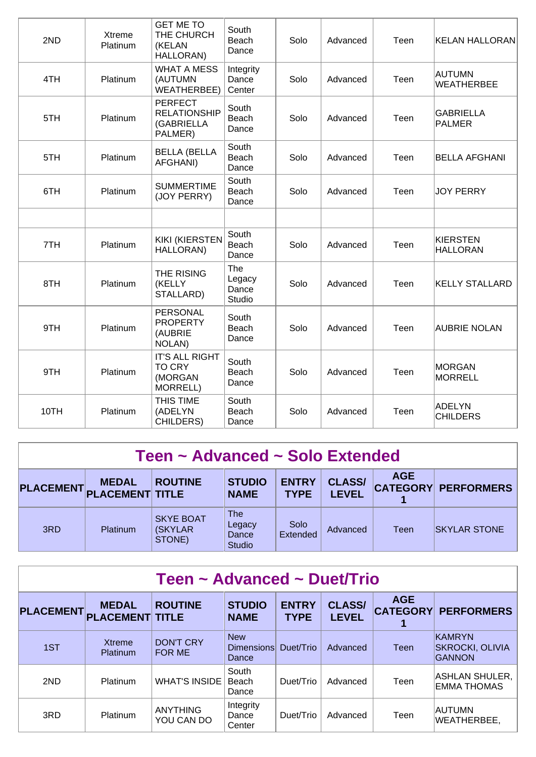| 2ND  | Xtreme<br>Platinum | <b>GET ME TO</b><br>THE CHURCH<br>(KELAN<br>HALLORAN)          | South<br>Beach<br>Dance          | Solo | Advanced | Teen | <b>KELAN HALLORAN</b>              |
|------|--------------------|----------------------------------------------------------------|----------------------------------|------|----------|------|------------------------------------|
| 4TH  | Platinum           | <b>WHAT A MESS</b><br>(AUTUMN<br><b>WEATHERBEE)</b>            | Integrity<br>Dance<br>Center     | Solo | Advanced | Teen | AUTUMN<br><b>WEATHERBEE</b>        |
| 5TH  | Platinum           | <b>PERFECT</b><br><b>RELATIONSHIP</b><br>(GABRIELLA<br>PALMER) | South<br>Beach<br>Dance          | Solo | Advanced | Teen | GABRIELLA<br><b>PALMER</b>         |
| 5TH  | Platinum           | <b>BELLA (BELLA</b><br>AFGHANI)                                | South<br>Beach<br>Dance          | Solo | Advanced | Teen | BELLA AFGHANI                      |
| 6TH  | Platinum           | <b>SUMMERTIME</b><br>(JOY PERRY)                               | South<br>Beach<br>Dance          | Solo | Advanced | Teen | <b>JOY PERRY</b>                   |
|      |                    |                                                                |                                  |      |          |      |                                    |
| 7TH  | Platinum           | <b>KIKI (KIERSTEN</b><br>HALLORAN)                             | South<br>Beach<br>Dance          | Solo | Advanced | Teen | <b>KIERSTEN</b><br><b>HALLORAN</b> |
| 8TH  | Platinum           | THE RISING<br>(KELLY<br>STALLARD)                              | The<br>Legacy<br>Dance<br>Studio | Solo | Advanced | Teen | <b>KELLY STALLARD</b>              |
| 9TH  | Platinum           | <b>PERSONAL</b><br><b>PROPERTY</b><br>(AUBRIE<br>NOLAN)        | South<br>Beach<br>Dance          | Solo | Advanced | Teen | <b>AUBRIE NOLAN</b>                |
| 9TH  | Platinum           | <b>IT'S ALL RIGHT</b><br><b>TO CRY</b><br>(MORGAN<br>MORRELL)  | South<br>Beach<br>Dance          | Solo | Advanced | Teen | MORGAN<br>MORRELL                  |
| 10TH | Platinum           | THIS TIME<br>(ADELYN<br>CHILDERS)                              | South<br>Beach<br>Dance          | Solo | Advanced | Teen | <b>ADELYN</b><br><b>CHILDERS</b>   |

| Teen ~ Advanced ~ Solo Extended                                                                                                                                                                                          |                 |                                        |                                                |                  |          |      |                     |  |  |
|--------------------------------------------------------------------------------------------------------------------------------------------------------------------------------------------------------------------------|-----------------|----------------------------------------|------------------------------------------------|------------------|----------|------|---------------------|--|--|
| <b>AGE</b><br><b>ENTRY</b><br><b>STUDIO</b><br><b>CLASS/</b><br><b>ROUTINE</b><br><b>MEDAL</b><br><b>CATEGORY PERFORMERS</b><br><b>PLACEMENT</b><br><b>PLACEMENT TITLE</b><br><b>LEVEL</b><br><b>TYPE</b><br><b>NAME</b> |                 |                                        |                                                |                  |          |      |                     |  |  |
| 3RD                                                                                                                                                                                                                      | <b>Platinum</b> | <b>SKYE BOAT</b><br>(SKYLAR)<br>STONE) | <b>The</b><br>Legacy<br>Dance<br><b>Studio</b> | Solo<br>Extended | Advanced | Teen | <b>SKYLAR STONE</b> |  |  |

| Teen ~ Advanced ~ Duet/Trio |                                        |                                   |                                          |                             |                               |            |                                                    |  |  |  |
|-----------------------------|----------------------------------------|-----------------------------------|------------------------------------------|-----------------------------|-------------------------------|------------|----------------------------------------------------|--|--|--|
| <b>PLACEMENT</b>            | <b>MEDAL</b><br><b>PLACEMENT TITLE</b> | <b>ROUTINE</b>                    | <b>STUDIO</b><br><b>NAME</b>             | <b>ENTRY</b><br><b>TYPE</b> | <b>CLASS/</b><br><b>LEVEL</b> | <b>AGE</b> | <b>CATEGORY PERFORMERS</b>                         |  |  |  |
| 1ST                         | <b>Xtreme</b><br>Platinum              | <b>DON'T CRY</b><br><b>FOR ME</b> | <b>New</b><br><b>Dimensions</b><br>Dance | Duet/Trio                   | Advanced                      | Teen       | <b>KAMRYN</b><br> SKROCKI, OLIVIA<br><b>GANNON</b> |  |  |  |
| 2ND                         | Platinum                               | <b>WHAT'S INSIDE</b>              | South<br>Beach<br>Dance                  | Duet/Trio                   | Advanced                      | Teen       | ASHLAN SHULER,<br>EMMA THOMAS                      |  |  |  |
| 3RD                         | Platinum                               | <b>ANYTHING</b><br>YOU CAN DO     | Integrity<br>Dance<br>Center             | Duet/Trio                   | Advanced                      | Teen       | <b>AUTUMN</b><br>WEATHERBEE,                       |  |  |  |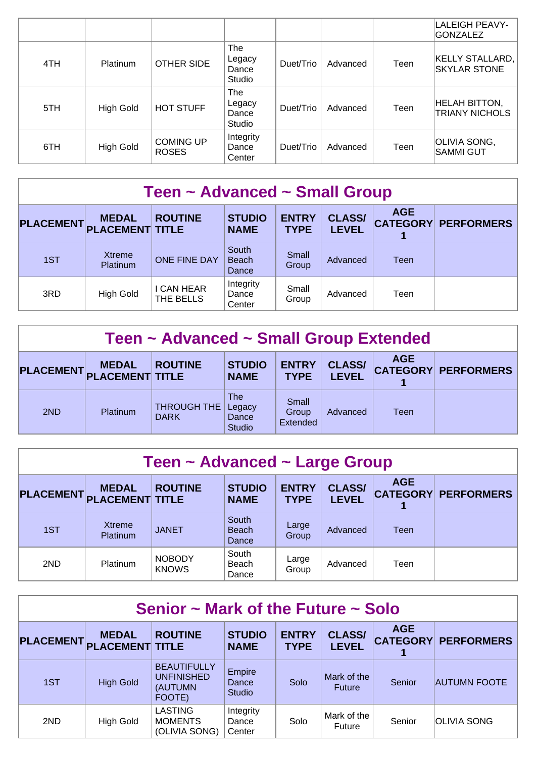|     |                  |                                  |                                  |           |          |      | LALEIGH PEAVY-<br><b>GONZALEZ</b>             |
|-----|------------------|----------------------------------|----------------------------------|-----------|----------|------|-----------------------------------------------|
| 4TH | Platinum         | <b>OTHER SIDE</b>                | The<br>Legacy<br>Dance<br>Studio | Duet/Trio | Advanced | Teen | KELLY STALLARD,<br><b>SKYLAR STONE</b>        |
| 5TH | <b>High Gold</b> | <b>HOT STUFF</b>                 | The<br>Legacy<br>Dance<br>Studio | Duet/Trio | Advanced | Teen | <b>HELAH BITTON,</b><br><b>TRIANY NICHOLS</b> |
| 6TH | High Gold        | <b>COMING UP</b><br><b>ROSES</b> | Integrity<br>Dance<br>Center     | Duet/Trio | Advanced | Teen | OLIVIA SONG,<br>SAMMI GUT                     |

| Teen ~ Advanced ~ Small Group                                                                                                                                                                                            |                           |                         |                                |                |          |      |  |  |  |  |
|--------------------------------------------------------------------------------------------------------------------------------------------------------------------------------------------------------------------------|---------------------------|-------------------------|--------------------------------|----------------|----------|------|--|--|--|--|
| <b>AGE</b><br><b>ENTRY</b><br><b>ROUTINE</b><br><b>CLASS/</b><br><b>STUDIO</b><br><b>MEDAL</b><br><b>PLACEMENT</b><br><b>CATEGORY PERFORMERS</b><br><b>PLACEMENT TITLE</b><br><b>LEVEL</b><br><b>TYPE</b><br><b>NAME</b> |                           |                         |                                |                |          |      |  |  |  |  |
| 1ST                                                                                                                                                                                                                      | <b>Xtreme</b><br>Platinum | <b>ONE FINE DAY</b>     | South<br><b>Beach</b><br>Dance | Small<br>Group | Advanced | Teen |  |  |  |  |
| 3RD                                                                                                                                                                                                                      | <b>High Gold</b>          | I CAN HEAR<br>THE BELLS | Integrity<br>Dance<br>Center   | Small<br>Group | Advanced | Teen |  |  |  |  |

| Teen ~ Advanced ~ Small Group Extended                                                                                                                                                                  |                 |                            |                                                |                            |          |      |  |  |  |  |
|---------------------------------------------------------------------------------------------------------------------------------------------------------------------------------------------------------|-----------------|----------------------------|------------------------------------------------|----------------------------|----------|------|--|--|--|--|
| <b>AGE</b><br><b>STUDIO</b><br><b>ENTRY</b><br><b>CLASS/</b><br><b>ROUTINE</b><br><b>MEDAL</b><br><b>CATEGORY PERFORMERS</b><br>PLACEMENT PLACEMENT TITLE<br><b>LEVEL</b><br><b>TYPE</b><br><b>NAME</b> |                 |                            |                                                |                            |          |      |  |  |  |  |
| 2ND                                                                                                                                                                                                     | <b>Platinum</b> | THROUGH THE<br><b>DARK</b> | <b>The</b><br>Legacy<br>Dance<br><b>Studio</b> | Small<br>Group<br>Extended | Advanced | Teen |  |  |  |  |

| Teen ~ Advanced ~ Large Group                                                                                                                                                                                            |                                  |                               |                                |                |          |      |  |  |  |  |
|--------------------------------------------------------------------------------------------------------------------------------------------------------------------------------------------------------------------------|----------------------------------|-------------------------------|--------------------------------|----------------|----------|------|--|--|--|--|
| <b>AGE</b><br><b>ROUTINE</b><br><b>STUDIO</b><br><b>ENTRY</b><br><b>CLASS/</b><br><b>MEDAL</b><br><b>PLACEMENT</b><br><b>CATEGORY PERFORMERS</b><br><b>PLACEMENT TITLE</b><br><b>LEVEL</b><br><b>TYPE</b><br><b>NAME</b> |                                  |                               |                                |                |          |      |  |  |  |  |
| 1ST                                                                                                                                                                                                                      | <b>Xtreme</b><br><b>Platinum</b> | <b>JANET</b>                  | South<br><b>Beach</b><br>Dance | Large<br>Group | Advanced | Teen |  |  |  |  |
| 2ND                                                                                                                                                                                                                      | Platinum                         | <b>NOBODY</b><br><b>KNOWS</b> | South<br>Beach<br>Dance        | Large<br>Group | Advanced | Teen |  |  |  |  |

| Senior $\sim$ Mark of the Future $\sim$ Solo |                                        |                                                              |                                  |                             |                               |            |                            |  |  |
|----------------------------------------------|----------------------------------------|--------------------------------------------------------------|----------------------------------|-----------------------------|-------------------------------|------------|----------------------------|--|--|
| <b>PLACEMENT</b>                             | <b>MEDAL</b><br><b>PLACEMENT TITLE</b> | <b>ROUTINE</b>                                               | <b>STUDIO</b><br><b>NAME</b>     | <b>ENTRY</b><br><b>TYPE</b> | <b>CLASS/</b><br><b>LEVEL</b> | <b>AGE</b> | <b>CATEGORY PERFORMERS</b> |  |  |
| 1ST                                          | <b>High Gold</b>                       | <b>BEAUTIFULLY</b><br><b>UNFINISHED</b><br>(AUTUMN<br>FOOTE) | Empire<br>Dance<br><b>Studio</b> | Solo                        | Mark of the<br><b>Future</b>  | Senior     | <b>AUTUMN FOOTE</b>        |  |  |
| 2ND                                          | <b>High Gold</b>                       | <b>LASTING</b><br><b>MOMENTS</b><br>(OLIVIA SONG)            | Integrity<br>Dance<br>Center     | Solo                        | Mark of the<br><b>Future</b>  | Senior     | <b>OLIVIA SONG</b>         |  |  |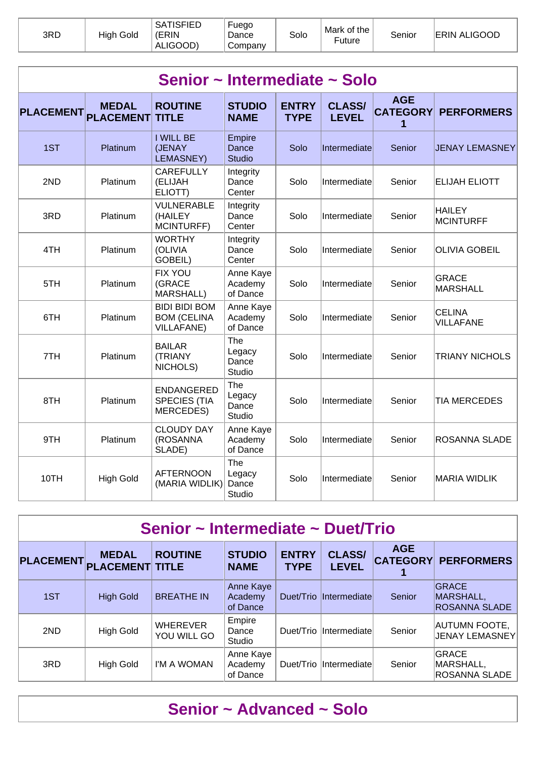| 3RD | High Gold | <b>SATISFIED</b><br>(ERIN<br>ALIGOOD) | Fuego<br>Dance<br>Company | Solo | Mark of the<br>⊑uture | Senior | <b>ERIN ALIGOOD</b> |
|-----|-----------|---------------------------------------|---------------------------|------|-----------------------|--------|---------------------|
|-----|-----------|---------------------------------------|---------------------------|------|-----------------------|--------|---------------------|

| Senior ~ Intermediate ~ Solo |                                  |                                                                 |                                  |                             |                               |                                    |                                   |  |  |  |
|------------------------------|----------------------------------|-----------------------------------------------------------------|----------------------------------|-----------------------------|-------------------------------|------------------------------------|-----------------------------------|--|--|--|
| <b>PLACEMENT</b>             | <b>MEDAL</b><br><b>PLACEMENT</b> | <b>ROUTINE</b><br><b>TITLE</b>                                  | <b>STUDIO</b><br><b>NAME</b>     | <b>ENTRY</b><br><b>TYPE</b> | <b>CLASS/</b><br><b>LEVEL</b> | <b>AGE</b><br><b>CATEGORY</b><br>1 | <b>PERFORMERS</b>                 |  |  |  |
| 1ST                          | Platinum                         | <b>I WILL BE</b><br>(JENAY<br>LEMASNEY)                         | Empire<br>Dance<br><b>Studio</b> | Solo                        | Intermediate                  | Senior                             | JENAY LEMASNEY                    |  |  |  |
| 2ND                          | Platinum                         | <b>CAREFULLY</b><br>(ELIJAH<br>ELIOTT)                          | Integrity<br>Dance<br>Center     | Solo                        | Intermediate                  | Senior                             | <b>ELIJAH ELIOTT</b>              |  |  |  |
| 3RD                          | Platinum                         | VULNERABLE<br>(HAILEY<br>MCINTURFF)                             | Integrity<br>Dance<br>Center     | Solo                        | Intermediate                  | Senior                             | <b>HAILEY</b><br>MCINTURFF        |  |  |  |
| 4TH                          | Platinum                         | <b>WORTHY</b><br>(OLIVIA<br>GOBEIL)                             | Integrity<br>Dance<br>Center     | Solo                        | Intermediate                  | Senior                             | <b>OLIVIA GOBEIL</b>              |  |  |  |
| 5TH                          | Platinum                         | <b>FIX YOU</b><br>(GRACE<br>MARSHALL)                           | Anne Kaye<br>Academy<br>of Dance | Solo                        | Intermediate                  | Senior                             | <b>GRACE</b><br>MARSHALL          |  |  |  |
| 6TH                          | Platinum                         | <b>BIDI BIDI BOM</b><br><b>BOM (CELINA</b><br><b>VILLAFANE)</b> | Anne Kaye<br>Academy<br>of Dance | Solo                        | Intermediate                  | Senior                             | <b>CELINA</b><br><b>VILLAFANE</b> |  |  |  |
| 7TH                          | Platinum                         | <b>BAILAR</b><br>(TRIANY<br>NICHOLS)                            | The<br>Legacy<br>Dance<br>Studio | Solo                        | Intermediate                  | Senior                             | <b>TRIANY NICHOLS</b>             |  |  |  |
| 8TH                          | Platinum                         | <b>ENDANGERED</b><br><b>SPECIES (TIA</b><br><b>MERCEDES)</b>    | The<br>Legacy<br>Dance<br>Studio | Solo                        | Intermediate                  | Senior                             | <b>TIA MERCEDES</b>               |  |  |  |
| 9TH                          | Platinum                         | <b>CLOUDY DAY</b><br>(ROSANNA<br>SLADE)                         | Anne Kaye<br>Academy<br>of Dance | Solo                        | Intermediate                  | Senior                             | <b>ROSANNA SLADE</b>              |  |  |  |
| 10TH                         | <b>High Gold</b>                 | <b>AFTERNOON</b><br>(MARIA WIDLIK)                              | The<br>Legacy<br>Dance<br>Studio | Solo                        | Intermediate                  | Senior                             | <b>MARIA WIDLIK</b>               |  |  |  |

| Senior ~ Intermediate ~ Duet/Trio |                                        |                                |                                  |                             |                               |            |                                                   |  |  |  |
|-----------------------------------|----------------------------------------|--------------------------------|----------------------------------|-----------------------------|-------------------------------|------------|---------------------------------------------------|--|--|--|
| <b>PLACEMENT</b>                  | <b>MEDAL</b><br><b>PLACEMENT TITLE</b> | <b>ROUTINE</b>                 | <b>STUDIO</b><br><b>NAME</b>     | <b>ENTRY</b><br><b>TYPE</b> | <b>CLASS/</b><br><b>LEVEL</b> | <b>AGE</b> | <b>CATEGORY PERFORMERS</b>                        |  |  |  |
| 1ST                               | <b>High Gold</b>                       | <b>BREATHE IN</b>              | Anne Kaye<br>Academy<br>of Dance |                             | Duet/Trio Intermediate        | Senior     | <b>GRACE</b><br>MARSHALL,<br><b>ROSANNA SLADE</b> |  |  |  |
| 2ND                               | <b>High Gold</b>                       | <b>WHEREVER</b><br>YOU WILL GO | Empire<br>Dance<br>Studio        |                             | Duet/Trio Intermediate        | Senior     | <b>AUTUMN FOOTE,</b><br><b>JENAY LEMASNEY</b>     |  |  |  |
| 3RD                               | <b>High Gold</b>                       | I'M A WOMAN                    | Anne Kaye<br>Academy<br>of Dance | Duet/Trio                   | <b>Intermediate</b>           | Senior     | <b>GRACE</b><br>MARSHALL,<br><b>ROSANNA SLADE</b> |  |  |  |

### **Senior ~ Advanced ~ Solo**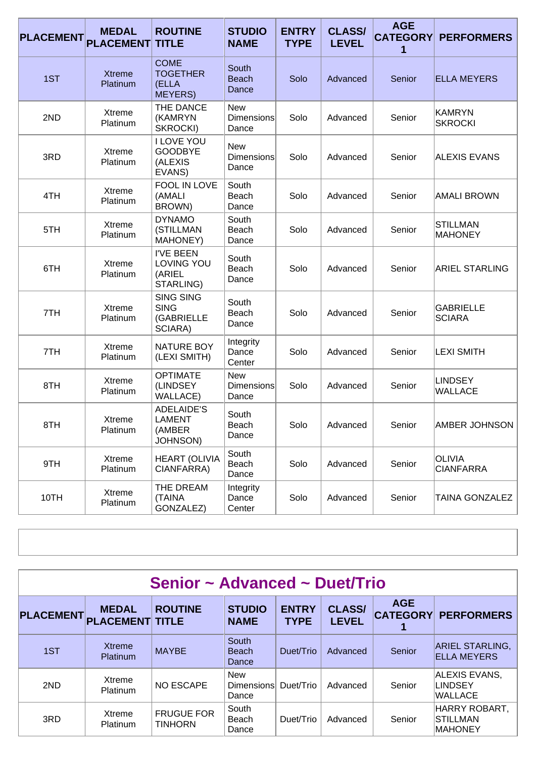| <b>PLACEMENT</b> | <b>MEDAL</b><br><b>PLACEMENT</b> | <b>ROUTINE</b><br><b>TITLE</b>                                  | <b>STUDIO</b><br><b>NAME</b>             | <b>ENTRY</b><br><b>TYPE</b> | <b>CLASS/</b><br><b>LEVEL</b> | <b>AGE</b><br><b>CATEGORY</b><br>1 | <b>PERFORMERS</b>                 |
|------------------|----------------------------------|-----------------------------------------------------------------|------------------------------------------|-----------------------------|-------------------------------|------------------------------------|-----------------------------------|
| 1ST              | <b>Xtreme</b><br>Platinum        | <b>COME</b><br><b>TOGETHER</b><br>(ELLA<br><b>MEYERS)</b>       | South<br><b>Beach</b><br>Dance           | Solo                        | Advanced                      | Senior                             | <b>ELLA MEYERS</b>                |
| 2ND              | Xtreme<br>Platinum               | THE DANCE<br>(KAMRYN<br>SKROCKI)                                | <b>New</b><br><b>Dimensions</b><br>Dance | Solo                        | Advanced                      | Senior                             | KAMRYN<br><b>SKROCKI</b>          |
| 3RD              | Xtreme<br>Platinum               | <b>I LOVE YOU</b><br><b>GOODBYE</b><br>(ALEXIS<br>EVANS)        | <b>New</b><br><b>Dimensions</b><br>Dance | Solo                        | Advanced                      | Senior                             | <b>ALEXIS EVANS</b>               |
| 4TH              | Xtreme<br>Platinum               | <b>FOOL IN LOVE</b><br>(AMALI<br>BROWN)                         | South<br>Beach<br>Dance                  | Solo                        | Advanced                      | Senior                             | <b>AMALI BROWN</b>                |
| 5TH              | Xtreme<br>Platinum               | <b>DYNAMO</b><br>(STILLMAN<br>MAHONEY)                          | South<br>Beach<br>Dance                  | Solo                        | Advanced                      | Senior                             | <b>STILLMAN</b><br><b>MAHONEY</b> |
| 6TH              | <b>Xtreme</b><br>Platinum        | <b>I'VE BEEN</b><br>LOVING YOU<br>(ARIEL<br>STARLING)           | South<br>Beach<br>Dance                  | Solo                        | Advanced                      | Senior                             | <b>ARIEL STARLING</b>             |
| 7TH              | Xtreme<br>Platinum               | <b>SING SING</b><br><b>SING</b><br>(GABRIELLE<br>SCIARA)        | South<br>Beach<br>Dance                  | Solo                        | Advanced                      | Senior                             | <b>GABRIELLE</b><br><b>SCIARA</b> |
| 7TH              | Xtreme<br>Platinum               | <b>NATURE BOY</b><br>(LEXI SMITH)                               | Integrity<br>Dance<br>Center             | Solo                        | Advanced                      | Senior                             | <b>LEXI SMITH</b>                 |
| 8TH              | Xtreme<br>Platinum               | <b>OPTIMATE</b><br>(LINDSEY<br><b>WALLACE)</b>                  | <b>New</b><br><b>Dimensions</b><br>Dance | Solo                        | Advanced                      | Senior                             | <b>LINDSEY</b><br><b>WALLACE</b>  |
| 8TH              | Xtreme<br>Platinum               | <b>ADELAIDE'S</b><br><b>LAMENT</b><br>(AMBER<br><b>JOHNSON)</b> | South<br>Beach<br>Dance                  | Solo                        | Advanced                      | Senior                             | <b>AMBER JOHNSON</b>              |
| 9TH              | Xtreme<br>Platinum               | <b>HEART (OLIVIA</b><br>CIANFARRA)                              | South<br>Beach<br>Dance                  | Solo                        | Advanced                      | Senior                             | OLIVIA<br><b>CIANFARRA</b>        |
| 10TH             | Xtreme<br>Platinum               | THE DREAM<br>(TAINA<br>GONZALEZ)                                | Integrity<br>Dance<br>Center             | Solo                        | Advanced                      | Senior                             | TAINA GONZALEZ                    |

|                  | Senior ~ Advanced ~ Duet/Trio          |                                     |                                   |                             |                               |            |                                                    |  |  |  |  |
|------------------|----------------------------------------|-------------------------------------|-----------------------------------|-----------------------------|-------------------------------|------------|----------------------------------------------------|--|--|--|--|
| <b>PLACEMENT</b> | <b>MEDAL</b><br><b>PLACEMENT TITLE</b> | <b>ROUTINE</b>                      | <b>STUDIO</b><br><b>NAME</b>      | <b>ENTRY</b><br><b>TYPE</b> | <b>CLASS/</b><br><b>LEVEL</b> | <b>AGE</b> | <b>CATEGORY PERFORMERS</b>                         |  |  |  |  |
| 1ST              | <b>Xtreme</b><br><b>Platinum</b>       | <b>MAYBE</b>                        | South<br><b>Beach</b><br>Dance    | Duet/Trio                   | Advanced                      | Senior     | <b>ARIEL STARLING,</b><br><b>ELLA MEYERS</b>       |  |  |  |  |
| 2ND              | Xtreme<br>Platinum                     | <b>NO ESCAPE</b>                    | <b>New</b><br>Dimensions<br>Dance | Duet/Trio                   | Advanced                      | Senior     | ALEXIS EVANS,<br><b>LINDSEY</b><br><b>WALLACE</b>  |  |  |  |  |
| 3RD              | Xtreme<br>Platinum                     | <b>FRUGUE FOR</b><br><b>TINHORN</b> | South<br>Beach<br>Dance           | Duet/Trio                   | Advanced                      | Senior     | HARRY ROBART,<br><b>STILLMAN</b><br><b>MAHONEY</b> |  |  |  |  |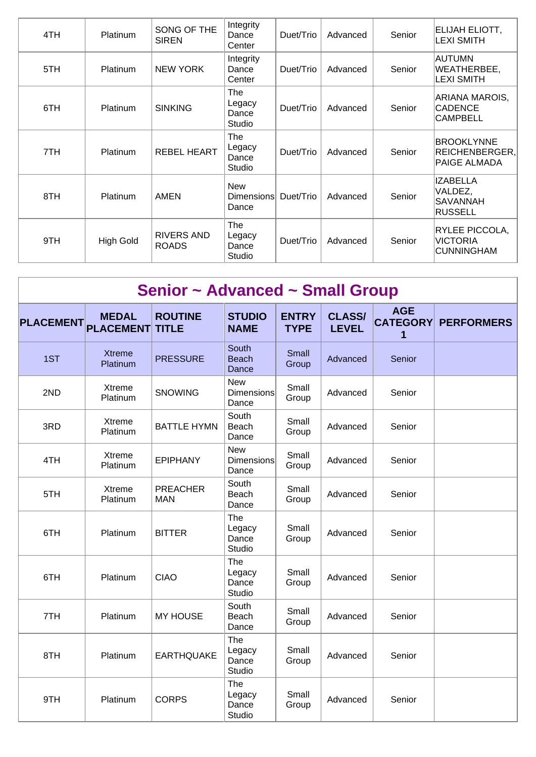| 4TH | Platinum         | SONG OF THE<br><b>SIREN</b>       | Integrity<br>Dance<br>Center            | Duet/Trio | Advanced | Senior | ELIJAH ELIOTT,<br><b>LEXI SMITH</b>                    |
|-----|------------------|-----------------------------------|-----------------------------------------|-----------|----------|--------|--------------------------------------------------------|
| 5TH | <b>Platinum</b>  | <b>NEW YORK</b>                   | Integrity<br>Dance<br>Center            | Duet/Trio | Advanced | Senior | AUTUMN<br>WEATHERBEE,<br>∣LEXI SMITH                   |
| 6TH | <b>Platinum</b>  | <b>SINKING</b>                    | <b>The</b><br>Legacy<br>Dance<br>Studio | Duet/Trio | Advanced | Senior | ARIANA MAROIS,<br>CADENCE<br><b>CAMPBELL</b>           |
| 7TH | Platinum         | <b>REBEL HEART</b>                | The<br>Legacy<br>Dance<br>Studio        | Duet/Trio | Advanced | Senior | <b>BROOKLYNNE</b><br>REICHENBERGER,<br>PAIGE ALMADA    |
| 8TH | Platinum         | <b>AMEN</b>                       | <b>New</b><br>Dimensions<br>Dance       | Duet/Trio | Advanced | Senior | IZABELLA<br>VALDEZ,<br>SAVANNAH<br>RUSSELL             |
| 9TH | <b>High Gold</b> | <b>RIVERS AND</b><br><b>ROADS</b> | The<br>Legacy<br>Dance<br>Studio        | Duet/Trio | Advanced | Senior | <b>RYLEE PICCOLA,</b><br><b>VICTORIA</b><br>CUNNINGHAM |

| Senior ~ Advanced ~ Small Group |                                  |                                |                                          |                             |                               |                                    |                   |  |
|---------------------------------|----------------------------------|--------------------------------|------------------------------------------|-----------------------------|-------------------------------|------------------------------------|-------------------|--|
| <b>PLACEMENT</b>                | <b>MEDAL</b><br><b>PLACEMENT</b> | <b>ROUTINE</b><br><b>TITLE</b> | <b>STUDIO</b><br><b>NAME</b>             | <b>ENTRY</b><br><b>TYPE</b> | <b>CLASS/</b><br><b>LEVEL</b> | <b>AGE</b><br><b>CATEGORY</b><br>1 | <b>PERFORMERS</b> |  |
| 1ST                             | <b>Xtreme</b><br>Platinum        | <b>PRESSURE</b>                | South<br><b>Beach</b><br>Dance           | Small<br>Group              | Advanced                      | Senior                             |                   |  |
| 2ND                             | Xtreme<br>Platinum               | <b>SNOWING</b>                 | <b>New</b><br><b>Dimensions</b><br>Dance | Small<br>Group              | Advanced                      | Senior                             |                   |  |
| 3RD                             | <b>Xtreme</b><br>Platinum        | <b>BATTLE HYMN</b>             | South<br>Beach<br>Dance                  | Small<br>Group              | Advanced                      | Senior                             |                   |  |
| 4TH                             | Xtreme<br>Platinum               | <b>EPIPHANY</b>                | <b>New</b><br>Dimensions<br>Dance        | Small<br>Group              | Advanced                      | Senior                             |                   |  |
| 5TH                             | Xtreme<br>Platinum               | <b>PREACHER</b><br><b>MAN</b>  | South<br>Beach<br>Dance                  | Small<br>Group              | Advanced                      | Senior                             |                   |  |
| 6TH                             | Platinum                         | <b>BITTER</b>                  | The<br>Legacy<br>Dance<br>Studio         | Small<br>Group              | Advanced                      | Senior                             |                   |  |
| 6TH                             | Platinum                         | <b>CIAO</b>                    | The<br>Legacy<br>Dance<br>Studio         | Small<br>Group              | Advanced                      | Senior                             |                   |  |
| 7TH                             | Platinum                         | <b>MY HOUSE</b>                | South<br>Beach<br>Dance                  | Small<br>Group              | Advanced                      | Senior                             |                   |  |
| 8TH                             | Platinum                         | <b>EARTHQUAKE</b>              | The<br>Legacy<br>Dance<br>Studio         | Small<br>Group              | Advanced                      | Senior                             |                   |  |
| 9TH                             | Platinum                         | <b>CORPS</b>                   | The<br>Legacy<br>Dance<br>Studio         | Small<br>Group              | Advanced                      | Senior                             |                   |  |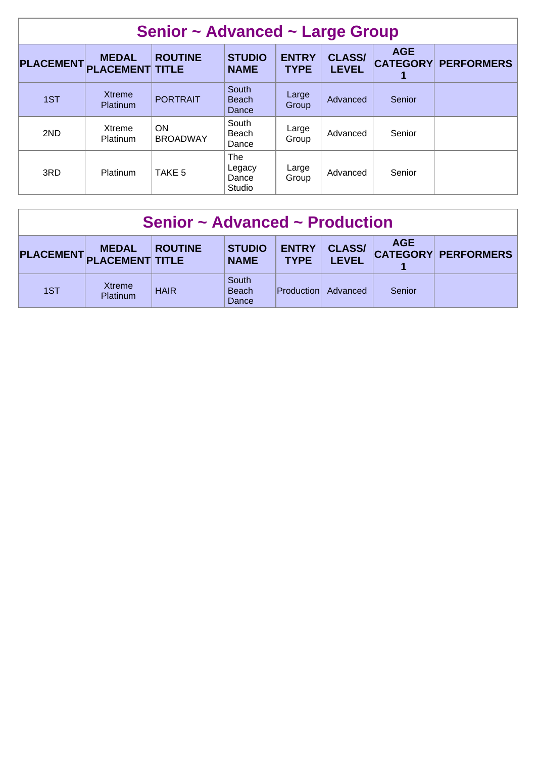| Senior ~ Advanced ~ Large Group |                                        |                              |                                  |                             |                               |                               |                   |  |
|---------------------------------|----------------------------------------|------------------------------|----------------------------------|-----------------------------|-------------------------------|-------------------------------|-------------------|--|
| <b>PLACEMENT</b>                | <b>MEDAL</b><br><b>PLACEMENT TITLE</b> | <b>ROUTINE</b>               | <b>STUDIO</b><br><b>NAME</b>     | <b>ENTRY</b><br><b>TYPE</b> | <b>CLASS/</b><br><b>LEVEL</b> | <b>AGE</b><br><b>CATEGORY</b> | <b>PERFORMERS</b> |  |
| 1ST                             | <b>Xtreme</b><br>Platinum              | <b>PORTRAIT</b>              | South<br><b>Beach</b><br>Dance   | Large<br>Group              | Advanced                      | Senior                        |                   |  |
| 2ND                             | Xtreme<br><b>Platinum</b>              | <b>ON</b><br><b>BROADWAY</b> | South<br>Beach<br>Dance          | Large<br>Group              | Advanced                      | Senior                        |                   |  |
| 3RD                             | Platinum                               | TAKE 5                       | The<br>Legacy<br>Dance<br>Studio | Large<br>Group              | Advanced                      | Senior                        |                   |  |

| Senior ~ Advanced ~ Production |                           |                |                                |                             |                               |            |                            |  |
|--------------------------------|---------------------------|----------------|--------------------------------|-----------------------------|-------------------------------|------------|----------------------------|--|
| PLACEMENT PLACEMENT TITLE      | <b>MEDAL</b>              | <b>ROUTINE</b> | <b>STUDIO</b><br><b>NAME</b>   | <b>ENTRY</b><br><b>TYPE</b> | <b>CLASS/</b><br><b>LEVEL</b> | <b>AGE</b> | <b>CATEGORY PERFORMERS</b> |  |
| 1ST                            | Xtreme<br><b>Platinum</b> | <b>HAIR</b>    | South<br><b>Beach</b><br>Dance | <b>Production</b>           | Advanced                      | Senior     |                            |  |